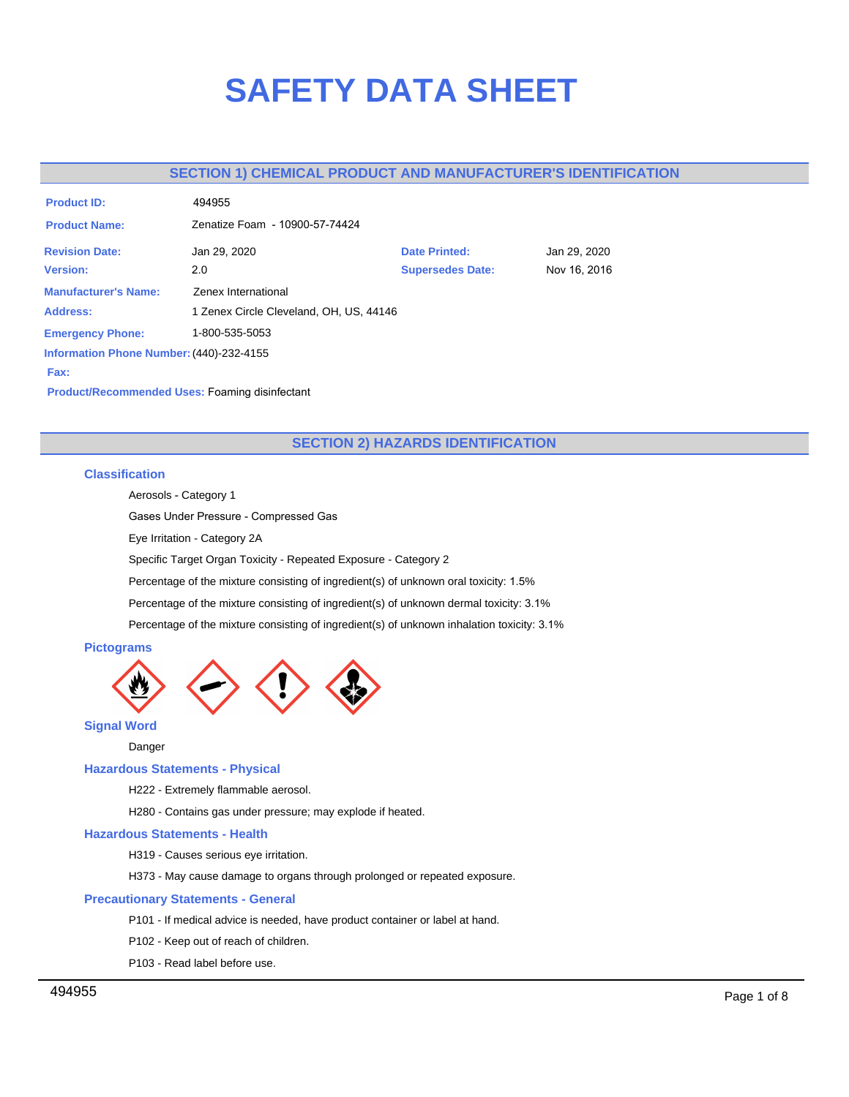# **SAFETY DATA SHEET**

# **SECTION 1) CHEMICAL PRODUCT AND MANUFACTURER'S IDENTIFICATION**

| <b>Product ID:</b>                       | 494955                                  |                         |              |  |  |
|------------------------------------------|-----------------------------------------|-------------------------|--------------|--|--|
| <b>Product Name:</b>                     | Zenatize Foam - 10900-57-74424          |                         |              |  |  |
| <b>Revision Date:</b>                    | Jan 29, 2020                            | <b>Date Printed:</b>    | Jan 29, 2020 |  |  |
| <b>Version:</b>                          | 2.0                                     | <b>Supersedes Date:</b> | Nov 16, 2016 |  |  |
| <b>Manufacturer's Name:</b>              | Zenex International                     |                         |              |  |  |
| <b>Address:</b>                          | 1 Zenex Circle Cleveland, OH, US, 44146 |                         |              |  |  |
| <b>Emergency Phone:</b>                  | 1-800-535-5053                          |                         |              |  |  |
| Information Phone Number: (440)-232-4155 |                                         |                         |              |  |  |
| Fax:                                     |                                         |                         |              |  |  |

**Product/Recommended Uses:** Foaming disinfectant

# **SECTION 2) HAZARDS IDENTIFICATION**

# **Classification**

Aerosols - Category 1

Gases Under Pressure - Compressed Gas

Eye Irritation - Category 2A

Specific Target Organ Toxicity - Repeated Exposure - Category 2

Percentage of the mixture consisting of ingredient(s) of unknown oral toxicity: 1.5%

Percentage of the mixture consisting of ingredient(s) of unknown dermal toxicity: 3.1%

Percentage of the mixture consisting of ingredient(s) of unknown inhalation toxicity: 3.1%

# **Pictograms**



**Signal Word**

Danger

# **Hazardous Statements - Physical**

H222 - Extremely flammable aerosol.

H280 - Contains gas under pressure; may explode if heated.

## **Hazardous Statements - Health**

H319 - Causes serious eye irritation.

H373 - May cause damage to organs through prolonged or repeated exposure.

## **Precautionary Statements - General**

P101 - If medical advice is needed, have product container or label at hand.

P102 - Keep out of reach of children.

P103 - Read label before use.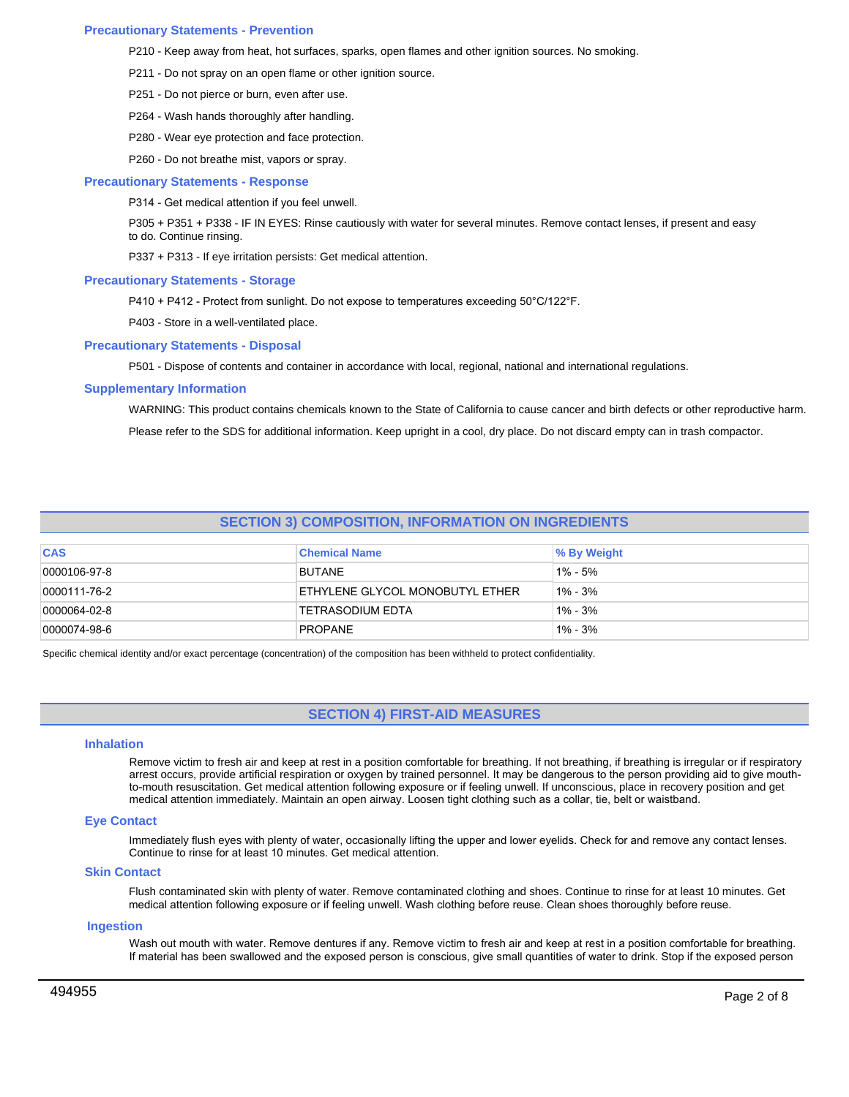## **Precautionary Statements - Prevention**

P210 - Keep away from heat, hot surfaces, sparks, open flames and other ignition sources. No smoking.

- P211 Do not spray on an open flame or other ignition source.
- P251 Do not pierce or burn, even after use.
- P264 Wash hands thoroughly after handling.
- P280 Wear eye protection and face protection.
- P260 Do not breathe mist, vapors or spray.

### **Precautionary Statements - Response**

P314 - Get medical attention if you feel unwell.

P305 + P351 + P338 - IF IN EYES: Rinse cautiously with water for several minutes. Remove contact lenses, if present and easy to do. Continue rinsing.

P337 + P313 - If eye irritation persists: Get medical attention.

### **Precautionary Statements - Storage**

P410 + P412 - Protect from sunlight. Do not expose to temperatures exceeding 50°C/122°F.

P403 - Store in a well-ventilated place.

#### **Precautionary Statements - Disposal**

P501 - Dispose of contents and container in accordance with local, regional, national and international regulations.

### **Supplementary Information**

WARNING: This product contains chemicals known to the State of California to cause cancer and birth defects or other reproductive harm. Please refer to the SDS for additional information. Keep upright in a cool, dry place. Do not discard empty can in trash compactor.

# **SECTION 3) COMPOSITION, INFORMATION ON INGREDIENTS**

| <b>CAS</b>   | <b>Chemical Name</b>            | % By Weight |
|--------------|---------------------------------|-------------|
| 0000106-97-8 | <b>BUTANE</b>                   | $1\% - 5\%$ |
| 0000111-76-2 | ETHYLENE GLYCOL MONOBUTYL ETHER | $1\% - 3\%$ |
| 0000064-02-8 | <b>TETRASODIUM EDTA</b>         | $1\% - 3\%$ |
| 0000074-98-6 | PROPANE                         | $1\% - 3\%$ |

Specific chemical identity and/or exact percentage (concentration) of the composition has been withheld to protect confidentiality.

# **SECTION 4) FIRST-AID MEASURES**

## **Inhalation**

Remove victim to fresh air and keep at rest in a position comfortable for breathing. If not breathing, if breathing is irregular or if respiratory arrest occurs, provide artificial respiration or oxygen by trained personnel. It may be dangerous to the person providing aid to give mouthto-mouth resuscitation. Get medical attention following exposure or if feeling unwell. If unconscious, place in recovery position and get medical attention immediately. Maintain an open airway. Loosen tight clothing such as a collar, tie, belt or waistband.

## **Eye Contact**

Immediately flush eyes with plenty of water, occasionally lifting the upper and lower eyelids. Check for and remove any contact lenses. Continue to rinse for at least 10 minutes. Get medical attention.

## **Skin Contact**

Flush contaminated skin with plenty of water. Remove contaminated clothing and shoes. Continue to rinse for at least 10 minutes. Get medical attention following exposure or if feeling unwell. Wash clothing before reuse. Clean shoes thoroughly before reuse.

#### **Ingestion**

Wash out mouth with water. Remove dentures if any. Remove victim to fresh air and keep at rest in a position comfortable for breathing. If material has been swallowed and the exposed person is conscious, give small quantities of water to drink. Stop if the exposed person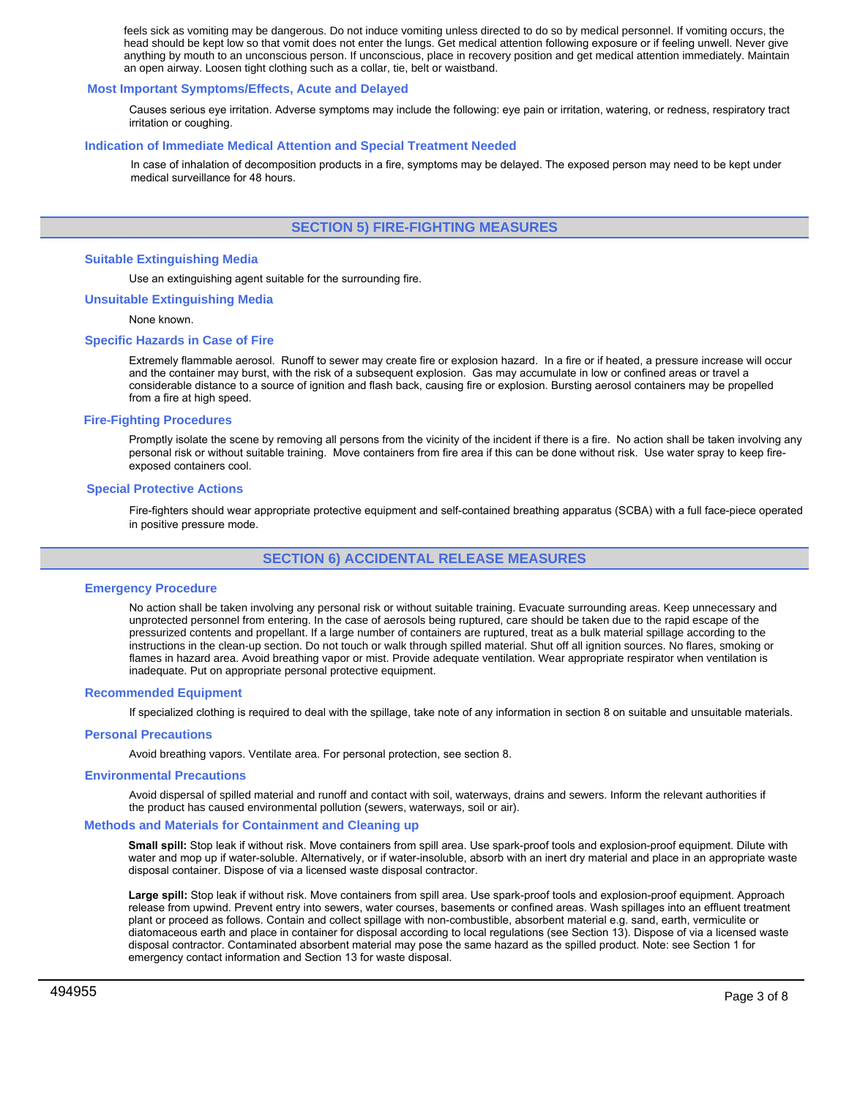feels sick as vomiting may be dangerous. Do not induce vomiting unless directed to do so by medical personnel. If vomiting occurs, the head should be kept low so that vomit does not enter the lungs. Get medical attention following exposure or if feeling unwell. Never give anything by mouth to an unconscious person. If unconscious, place in recovery position and get medical attention immediately. Maintain an open airway. Loosen tight clothing such as a collar, tie, belt or waistband.

## **Most Important Symptoms/Effects, Acute and Delayed**

Causes serious eye irritation. Adverse symptoms may include the following: eye pain or irritation, watering, or redness, respiratory tract irritation or coughing.

## **Indication of Immediate Medical Attention and Special Treatment Needed**

In case of inhalation of decomposition products in a fire, symptoms may be delayed. The exposed person may need to be kept under medical surveillance for 48 hours.

# **SECTION 5) FIRE-FIGHTING MEASURES**

## **Suitable Extinguishing Media**

Use an extinguishing agent suitable for the surrounding fire.

### **Unsuitable Extinguishing Media**

None known.

## **Specific Hazards in Case of Fire**

Extremely flammable aerosol. Runoff to sewer may create fire or explosion hazard. In a fire or if heated, a pressure increase will occur and the container may burst, with the risk of a subsequent explosion. Gas may accumulate in low or confined areas or travel a considerable distance to a source of ignition and flash back, causing fire or explosion. Bursting aerosol containers may be propelled from a fire at high speed.

### **Fire-Fighting Procedures**

Promptly isolate the scene by removing all persons from the vicinity of the incident if there is a fire. No action shall be taken involving any personal risk or without suitable training. Move containers from fire area if this can be done without risk. Use water spray to keep fireexposed containers cool.

### **Special Protective Actions**

Fire-fighters should wear appropriate protective equipment and self-contained breathing apparatus (SCBA) with a full face-piece operated in positive pressure mode.

# **SECTION 6) ACCIDENTAL RELEASE MEASURES**

## **Emergency Procedure**

No action shall be taken involving any personal risk or without suitable training. Evacuate surrounding areas. Keep unnecessary and unprotected personnel from entering. In the case of aerosols being ruptured, care should be taken due to the rapid escape of the pressurized contents and propellant. If a large number of containers are ruptured, treat as a bulk material spillage according to the instructions in the clean-up section. Do not touch or walk through spilled material. Shut off all ignition sources. No flares, smoking or flames in hazard area. Avoid breathing vapor or mist. Provide adequate ventilation. Wear appropriate respirator when ventilation is inadequate. Put on appropriate personal protective equipment.

#### **Recommended Equipment**

If specialized clothing is required to deal with the spillage, take note of any information in section 8 on suitable and unsuitable materials.

#### **Personal Precautions**

Avoid breathing vapors. Ventilate area. For personal protection, see section 8.

#### **Environmental Precautions**

Avoid dispersal of spilled material and runoff and contact with soil, waterways, drains and sewers. Inform the relevant authorities if the product has caused environmental pollution (sewers, waterways, soil or air).

#### **Methods and Materials for Containment and Cleaning up**

**Small spill:** Stop leak if without risk. Move containers from spill area. Use spark-proof tools and explosion-proof equipment. Dilute with water and mop up if water-soluble. Alternatively, or if water-insoluble, absorb with an inert dry material and place in an appropriate waste disposal container. Dispose of via a licensed waste disposal contractor.

**Large spill:** Stop leak if without risk. Move containers from spill area. Use spark-proof tools and explosion-proof equipment. Approach release from upwind. Prevent entry into sewers, water courses, basements or confined areas. Wash spillages into an effluent treatment plant or proceed as follows. Contain and collect spillage with non-combustible, absorbent material e.g. sand, earth, vermiculite or diatomaceous earth and place in container for disposal according to local regulations (see Section 13). Dispose of via a licensed waste disposal contractor. Contaminated absorbent material may pose the same hazard as the spilled product. Note: see Section 1 for emergency contact information and Section 13 for waste disposal.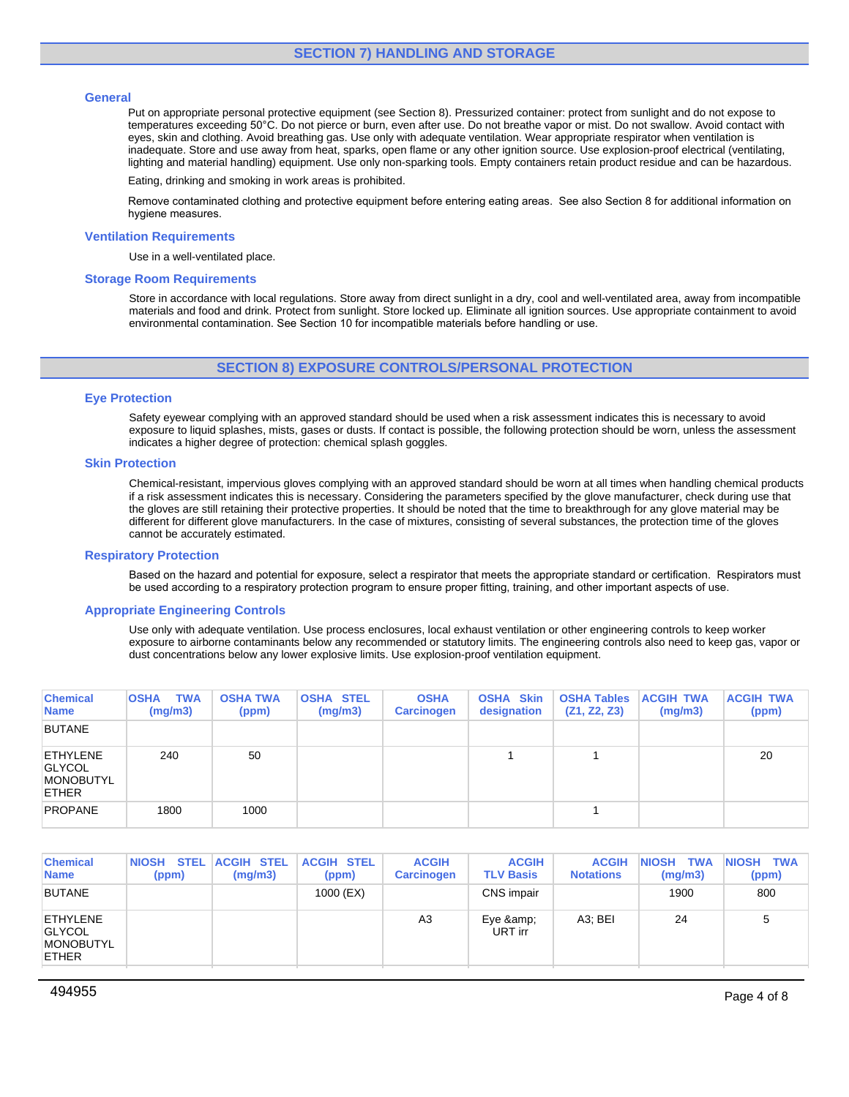## **General**

Put on appropriate personal protective equipment (see Section 8). Pressurized container: protect from sunlight and do not expose to temperatures exceeding 50°C. Do not pierce or burn, even after use. Do not breathe vapor or mist. Do not swallow. Avoid contact with eyes, skin and clothing. Avoid breathing gas. Use only with adequate ventilation. Wear appropriate respirator when ventilation is inadequate. Store and use away from heat, sparks, open flame or any other ignition source. Use explosion-proof electrical (ventilating, lighting and material handling) equipment. Use only non-sparking tools. Empty containers retain product residue and can be hazardous.

Eating, drinking and smoking in work areas is prohibited.

Remove contaminated clothing and protective equipment before entering eating areas. See also Section 8 for additional information on hygiene measures.

## **Ventilation Requirements**

Use in a well-ventilated place.

## **Storage Room Requirements**

Store in accordance with local regulations. Store away from direct sunlight in a dry, cool and well-ventilated area, away from incompatible materials and food and drink. Protect from sunlight. Store locked up. Eliminate all ignition sources. Use appropriate containment to avoid environmental contamination. See Section 10 for incompatible materials before handling or use.

# **SECTION 8) EXPOSURE CONTROLS/PERSONAL PROTECTION**

## **Eye Protection**

Safety eyewear complying with an approved standard should be used when a risk assessment indicates this is necessary to avoid exposure to liquid splashes, mists, gases or dusts. If contact is possible, the following protection should be worn, unless the assessment indicates a higher degree of protection: chemical splash goggles.

## **Skin Protection**

Chemical-resistant, impervious gloves complying with an approved standard should be worn at all times when handling chemical products if a risk assessment indicates this is necessary. Considering the parameters specified by the glove manufacturer, check during use that the gloves are still retaining their protective properties. It should be noted that the time to breakthrough for any glove material may be different for different glove manufacturers. In the case of mixtures, consisting of several substances, the protection time of the gloves cannot be accurately estimated.

## **Respiratory Protection**

Based on the hazard and potential for exposure, select a respirator that meets the appropriate standard or certification. Respirators must be used according to a respiratory protection program to ensure proper fitting, training, and other important aspects of use.

## **Appropriate Engineering Controls**

Use only with adequate ventilation. Use process enclosures, local exhaust ventilation or other engineering controls to keep worker exposure to airborne contaminants below any recommended or statutory limits. The engineering controls also need to keep gas, vapor or dust concentrations below any lower explosive limits. Use explosion-proof ventilation equipment.

| <b>Chemical</b><br><b>Name</b>                                       | <b>TWA</b><br><b>OSHA</b><br>(mg/m3) | <b>OSHA TWA</b><br>(ppm) | <b>OSHA STEL</b><br>(mg/m3) | <b>OSHA</b><br><b>Carcinogen</b> | <b>OSHA Skin</b><br>designation | <b>OSHA Tables</b><br>(Z1, Z2, Z3) | <b>ACGIH TWA</b><br>(mg/m3) | <b>ACGIH TWA</b><br>(ppm) |
|----------------------------------------------------------------------|--------------------------------------|--------------------------|-----------------------------|----------------------------------|---------------------------------|------------------------------------|-----------------------------|---------------------------|
| <b>BUTANE</b>                                                        |                                      |                          |                             |                                  |                                 |                                    |                             |                           |
| <b>ETHYLENE</b><br><b>GLYCOL</b><br><b>MONOBUTYL</b><br><b>ETHER</b> | 240                                  | 50                       |                             |                                  |                                 |                                    |                             | 20                        |
| <b>PROPANE</b>                                                       | 1800                                 | 1000                     |                             |                                  |                                 |                                    |                             |                           |

| <b>Chemical</b><br><b>Name</b>                                | <b>STEL</b><br><b>NIOSH</b><br>(ppm) | <b>ACGIH STEL</b><br>(mg/m3) | <b>ACGIH STEL</b><br>(ppm) | <b>ACGIH</b><br><b>Carcinogen</b> | <b>ACGIH</b><br><b>TLV Basis</b> | <b>ACGIH</b><br><b>Notations</b> | <b>TWA</b><br><b>NIOSH</b><br>(mg/m3) | <b>INIOSH TWA</b><br>(ppm) |
|---------------------------------------------------------------|--------------------------------------|------------------------------|----------------------------|-----------------------------------|----------------------------------|----------------------------------|---------------------------------------|----------------------------|
| <b>BUTANE</b>                                                 |                                      |                              | 1000 (EX)                  |                                   | CNS impair                       |                                  | 1900                                  | 800                        |
| ETHYLENE<br><b>GLYCOL</b><br><b>MONOBUTYL</b><br><b>ETHER</b> |                                      |                              |                            | A3                                | Eye &<br>URT irr                 | A <sub>3</sub> : BEI             | 24                                    | đ                          |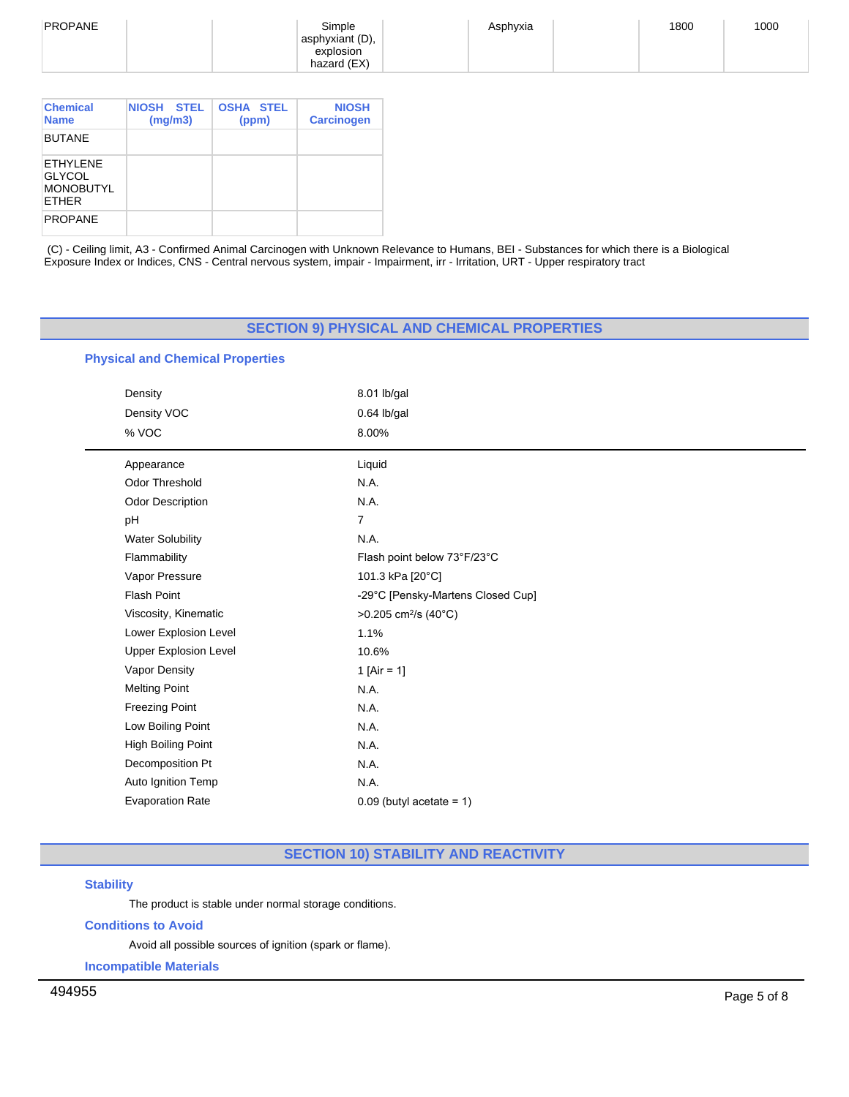| PROPANE | Simple          | Asphyxia | 1800 | 1000 |
|---------|-----------------|----------|------|------|
|         |                 |          |      |      |
|         | asphyxiant (D), |          |      |      |
|         | explosion       |          |      |      |
|         | hazard (EX)     |          |      |      |
|         |                 |          |      |      |

| <b>Chemical</b><br><b>Name</b>                                 | <b>NIOSH</b><br><b>STEL</b><br>(mg/m3) | <b>OSHA STEL</b><br>(ppm) | <b>NIOSH</b><br><b>Carcinogen</b> |
|----------------------------------------------------------------|----------------------------------------|---------------------------|-----------------------------------|
| <b>BUTANE</b>                                                  |                                        |                           |                                   |
| FTHYI FNF<br><b>GLYCOL</b><br><b>MONOBUTYL</b><br><b>ETHER</b> |                                        |                           |                                   |
| <b>PROPANE</b>                                                 |                                        |                           |                                   |

(C) - Ceiling limit, A3 - Confirmed Animal Carcinogen with Unknown Relevance to Humans, BEI - Substances for which there is a Biological Exposure Index or Indices, CNS - Central nervous system, impair - Impairment, irr - Irritation, URT - Upper respiratory tract

# **SECTION 9) PHYSICAL AND CHEMICAL PROPERTIES**

# **Physical and Chemical Properties**

| Density                      | 8.01 lb/gal                       |
|------------------------------|-----------------------------------|
| Density VOC                  | 0.64 lb/gal                       |
| % VOC                        | 8.00%                             |
| Appearance                   | Liquid                            |
| <b>Odor Threshold</b>        | N.A.                              |
| <b>Odor Description</b>      | N.A.                              |
| pH                           | $\overline{7}$                    |
| <b>Water Solubility</b>      | N.A.                              |
| Flammability                 | Flash point below 73°F/23°C       |
| Vapor Pressure               | 101.3 kPa [20°C]                  |
| <b>Flash Point</b>           | -29°C [Pensky-Martens Closed Cup] |
| Viscosity, Kinematic         | >0.205 cm <sup>2</sup> /s (40°C)  |
| Lower Explosion Level        | 1.1%                              |
| <b>Upper Explosion Level</b> | 10.6%                             |
| Vapor Density                | 1 [Air = 1]                       |
| <b>Melting Point</b>         | N.A.                              |
| <b>Freezing Point</b>        | N.A.                              |
| Low Boiling Point            | N.A.                              |
| High Boiling Point           | N.A.                              |
| Decomposition Pt             | N.A.                              |
| Auto Ignition Temp           | N.A.                              |
| <b>Evaporation Rate</b>      | $0.09$ (butyl acetate = 1)        |
|                              |                                   |

# **SECTION 10) STABILITY AND REACTIVITY**

# **Stability**

 $\overline{\phantom{0}}$ 

The product is stable under normal storage conditions.

# **Conditions to Avoid**

Avoid all possible sources of ignition (spark or flame).

**Incompatible Materials**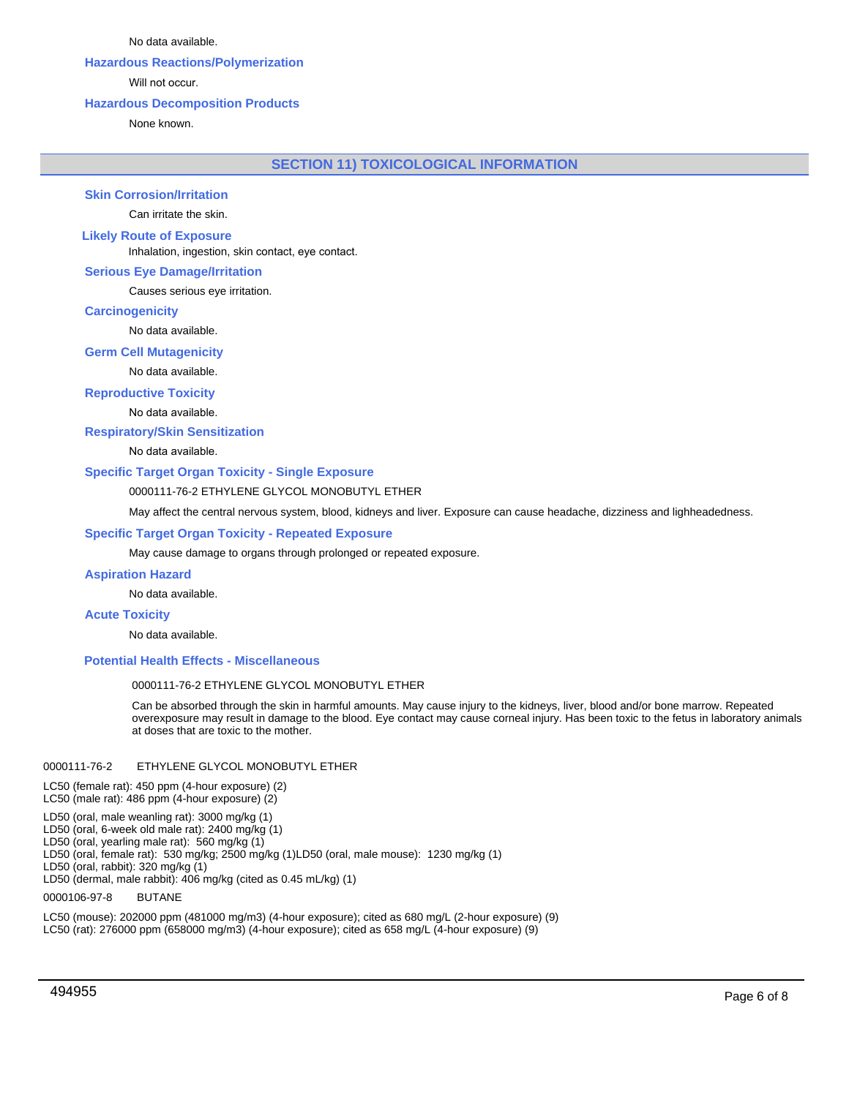No data available.

# **Hazardous Reactions/Polymerization**

Will not occur.

## **Hazardous Decomposition Products**

None known.

**SECTION 11) TOXICOLOGICAL INFORMATION**

**Skin Corrosion/Irritation**

Can irritate the skin.

# **Likely Route of Exposure**

Inhalation, ingestion, skin contact, eye contact.

## **Serious Eye Damage/Irritation**

Causes serious eye irritation.

## **Carcinogenicity**

No data available.

## **Germ Cell Mutagenicity**

No data available.

# **Reproductive Toxicity**

No data available.

**Respiratory/Skin Sensitization**

No data available.

## **Specific Target Organ Toxicity - Single Exposure**

## 0000111-76-2 ETHYLENE GLYCOL MONOBUTYL ETHER

May affect the central nervous system, blood, kidneys and liver. Exposure can cause headache, dizziness and lighheadedness.

## **Specific Target Organ Toxicity - Repeated Exposure**

May cause damage to organs through prolonged or repeated exposure.

#### **Aspiration Hazard**

No data available.

## **Acute Toxicity**

No data available.

## **Potential Health Effects - Miscellaneous**

## 0000111-76-2 ETHYLENE GLYCOL MONOBUTYL ETHER

Can be absorbed through the skin in harmful amounts. May cause injury to the kidneys, liver, blood and/or bone marrow. Repeated overexposure may result in damage to the blood. Eye contact may cause corneal injury. Has been toxic to the fetus in laboratory animals at doses that are toxic to the mother.

## 0000111-76-2 ETHYLENE GLYCOL MONOBUTYL ETHER

LC50 (female rat): 450 ppm (4-hour exposure) (2)

LC50 (male rat): 486 ppm (4-hour exposure) (2)

LD50 (oral, male weanling rat): 3000 mg/kg (1)

LD50 (oral, 6-week old male rat): 2400 mg/kg (1)

LD50 (oral, yearling male rat): 560 mg/kg (1)

LD50 (oral, female rat): 530 mg/kg; 2500 mg/kg (1)LD50 (oral, male mouse): 1230 mg/kg (1)

LD50 (oral, rabbit): 320 mg/kg (1)

LD50 (dermal, male rabbit): 406 mg/kg (cited as 0.45 mL/kg) (1)

# 0000106-97-8 BUTANE

LC50 (mouse): 202000 ppm (481000 mg/m3) (4-hour exposure); cited as 680 mg/L (2-hour exposure) (9) LC50 (rat): 276000 ppm (658000 mg/m3) (4-hour exposure); cited as 658 mg/L (4-hour exposure) (9)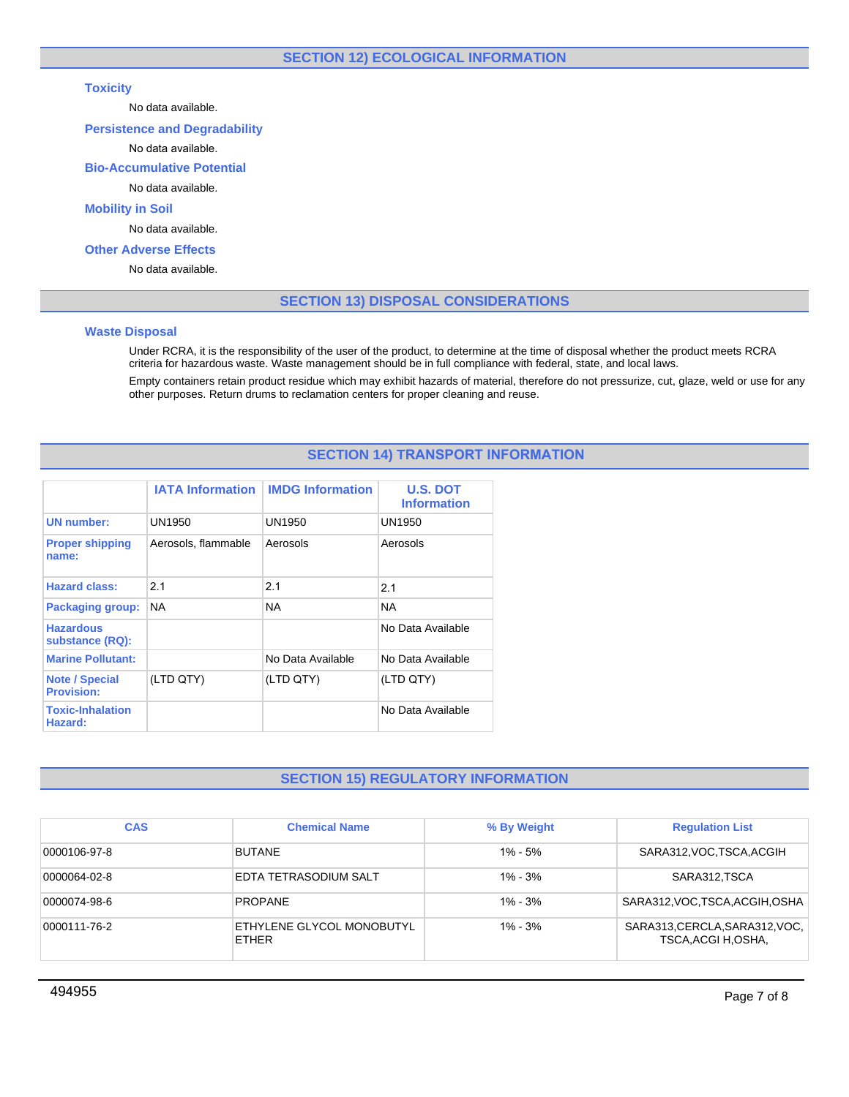# **SECTION 12) ECOLOGICAL INFORMATION**

# **Toxicity**

No data available.

# **Persistence and Degradability**

# No data available.

# **Bio-Accumulative Potential**

# No data available.

# **Mobility in Soil**

No data available.

# **Other Adverse Effects**

No data available.

# **SECTION 13) DISPOSAL CONSIDERATIONS**

## **Waste Disposal**

Under RCRA, it is the responsibility of the user of the product, to determine at the time of disposal whether the product meets RCRA criteria for hazardous waste. Waste management should be in full compliance with federal, state, and local laws.

Empty containers retain product residue which may exhibit hazards of material, therefore do not pressurize, cut, glaze, weld or use for any other purposes. Return drums to reclamation centers for proper cleaning and reuse.

# **SECTION 14) TRANSPORT INFORMATION**

|                                            |                     | <b>IATA Information   IMDG Information</b> | <b>U.S. DOT</b><br><b>Information</b> |
|--------------------------------------------|---------------------|--------------------------------------------|---------------------------------------|
| <b>UN</b> number:                          | UN1950              | UN1950                                     | UN1950                                |
| <b>Proper shipping</b><br>name:            | Aerosols, flammable | Aerosols                                   | Aerosols                              |
| <b>Hazard class:</b>                       | 2.1                 | 2.1                                        | 2.1                                   |
| <b>Packaging group:</b>                    | <b>NA</b>           | <b>NA</b>                                  | NA.                                   |
| <b>Hazardous</b><br>substance (RQ):        |                     |                                            | No Data Available                     |
| <b>Marine Pollutant:</b>                   |                     | No Data Available                          | No Data Available                     |
| <b>Note / Special</b><br><b>Provision:</b> | (LTD QTY)           | (LTD QTY)                                  | (LTD QTY)                             |
| <b>Toxic-Inhalation</b><br>Hazard:         |                     |                                            | No Data Available                     |

# **SECTION 15) REGULATORY INFORMATION**

| <b>CAS</b>   | <b>Chemical Name</b>                      | % By Weight | <b>Regulation List</b>                                |
|--------------|-------------------------------------------|-------------|-------------------------------------------------------|
| 0000106-97-8 | <b>BUTANE</b>                             | $1\% - 5\%$ | SARA312, VOC, TSCA, ACGIH                             |
| 0000064-02-8 | EDTA TETRASODIUM SALT                     | $1\% - 3\%$ | SARA312.TSCA                                          |
| 0000074-98-6 | <b>PROPANE</b>                            | $1\% - 3\%$ | SARA312, VOC, TSCA, ACGIH, OSHA                       |
| 0000111-76-2 | ETHYLENE GLYCOL MONOBUTYL<br><b>ETHER</b> | $1\% - 3\%$ | SARA313, CERCLA, SARA312, VOC,<br>TSCA, ACGI H, OSHA, |